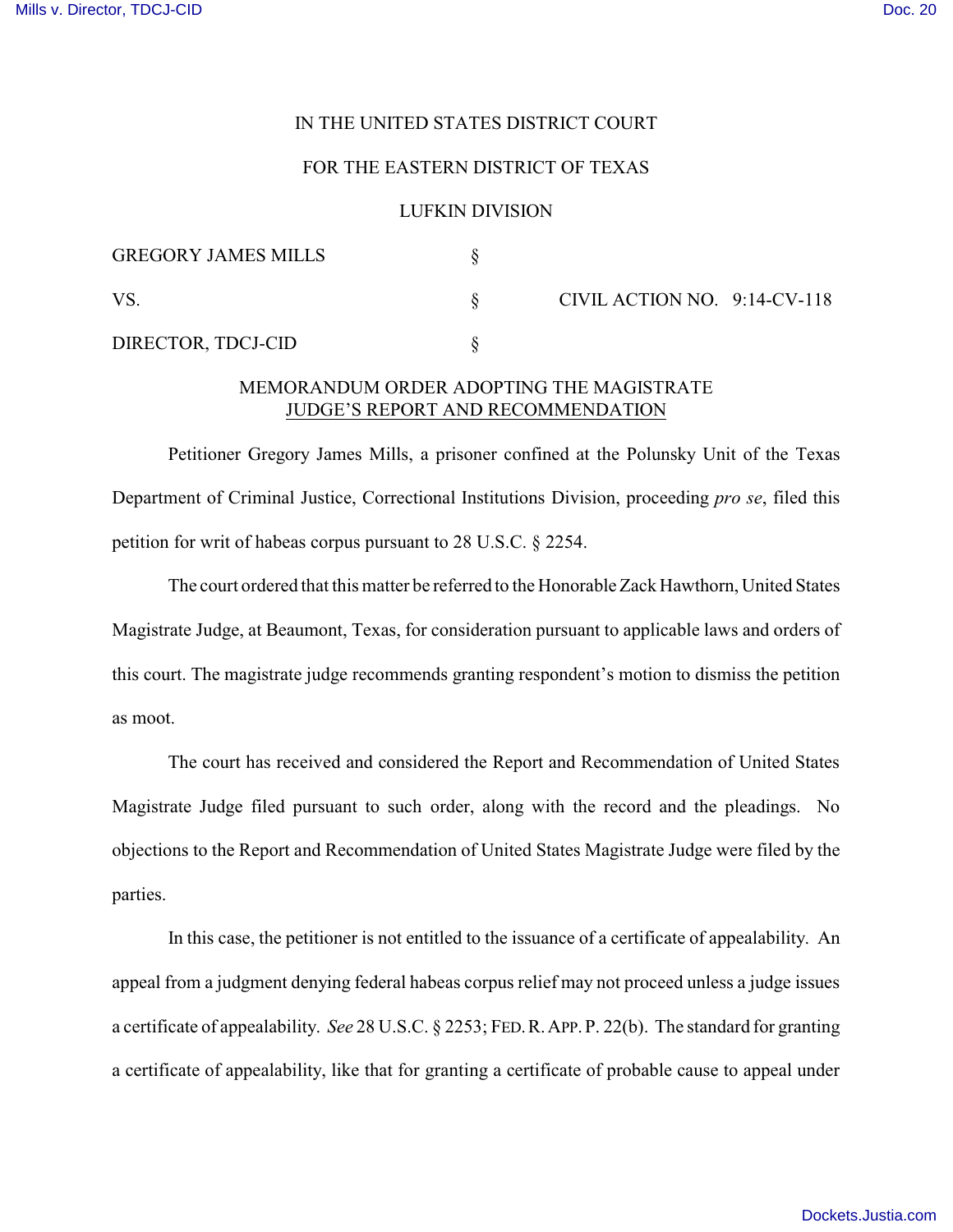## IN THE UNITED STATES DISTRICT COURT

## FOR THE EASTERN DISTRICT OF TEXAS

## LUFKIN DIVISION

| <b>GREGORY JAMES MILLS</b> |                              |  |
|----------------------------|------------------------------|--|
| VS                         | CIVIL ACTION NO. 9:14-CV-118 |  |
| DIRECTOR, TDCJ-CID         |                              |  |

## MEMORANDUM ORDER ADOPTING THE MAGISTRATE JUDGE'S REPORT AND RECOMMENDATION

Petitioner Gregory James Mills, a prisoner confined at the Polunsky Unit of the Texas Department of Criminal Justice, Correctional Institutions Division, proceeding *pro se*, filed this petition for writ of habeas corpus pursuant to 28 U.S.C. § 2254.

The court ordered that this matter be referred to the Honorable Zack Hawthorn, United States Magistrate Judge, at Beaumont, Texas, for consideration pursuant to applicable laws and orders of this court. The magistrate judge recommends granting respondent's motion to dismiss the petition as moot.

The court has received and considered the Report and Recommendation of United States Magistrate Judge filed pursuant to such order, along with the record and the pleadings. No objections to the Report and Recommendation of United States Magistrate Judge were filed by the parties.

In this case, the petitioner is not entitled to the issuance of a certificate of appealability. An appeal from a judgment denying federal habeas corpus relief may not proceed unless a judge issues a certificate of appealability. *See* 28 U.S.C. § 2253; FED.R.APP.P. 22(b). The standard for granting a certificate of appealability, like that for granting a certificate of probable cause to appeal under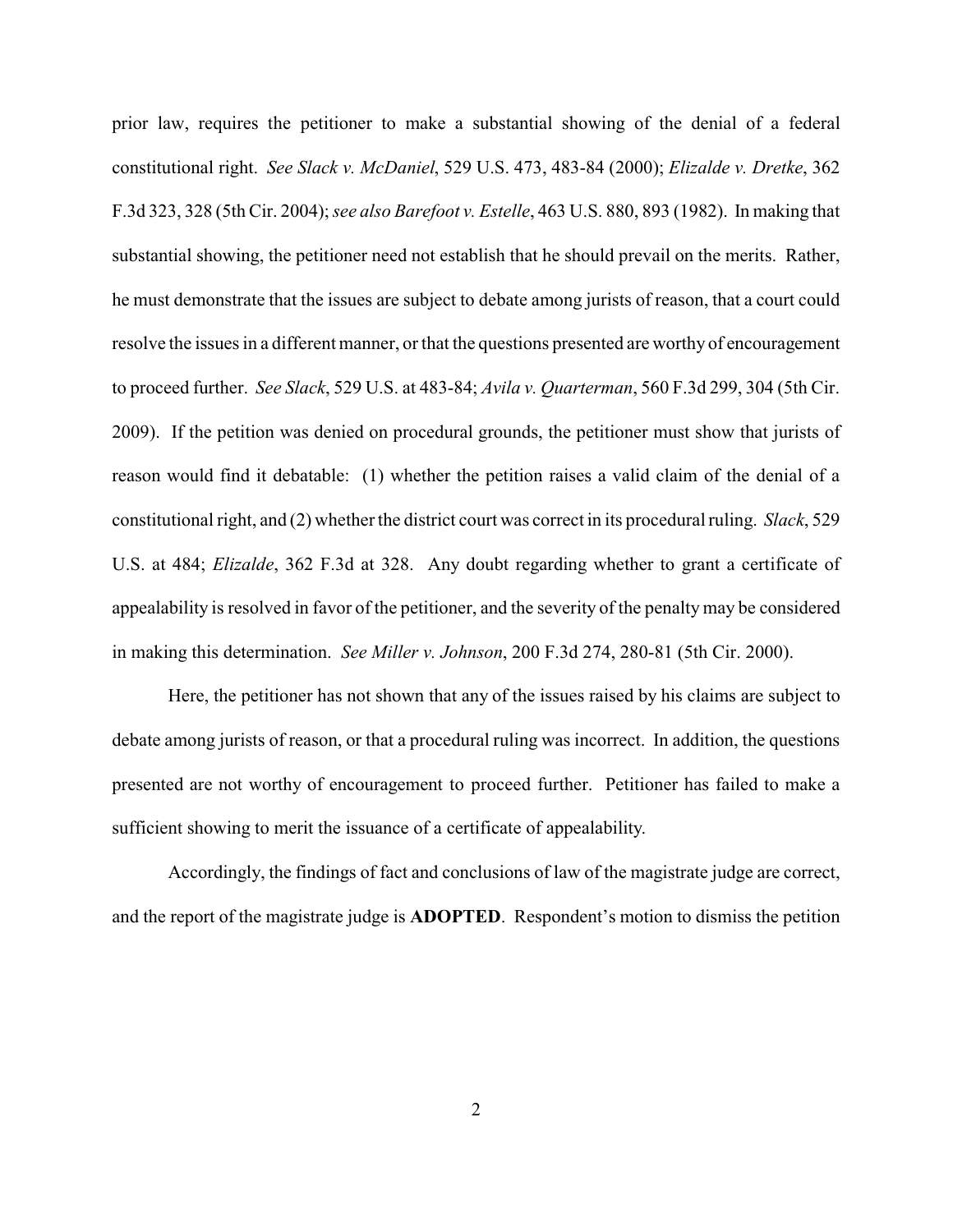prior law, requires the petitioner to make a substantial showing of the denial of a federal constitutional right. *See Slack v. McDaniel*, 529 U.S. 473, 483-84 (2000); *Elizalde v. Dretke*, 362 F.3d 323, 328 (5th Cir. 2004); *see also Barefoot v. Estelle*, 463 U.S. 880, 893 (1982). In making that substantial showing, the petitioner need not establish that he should prevail on the merits. Rather, he must demonstrate that the issues are subject to debate among jurists of reason, that a court could resolve the issues in a different manner, or that the questions presented are worthy of encouragement to proceed further. *See Slack*, 529 U.S. at 483-84; *Avila v. Quarterman*, 560 F.3d 299, 304 (5th Cir. 2009). If the petition was denied on procedural grounds, the petitioner must show that jurists of reason would find it debatable: (1) whether the petition raises a valid claim of the denial of a constitutional right, and (2) whether the district court was correct in its procedural ruling. *Slack*, 529 U.S. at 484; *Elizalde*, 362 F.3d at 328. Any doubt regarding whether to grant a certificate of appealability is resolved in favor of the petitioner, and the severity of the penalty may be considered in making this determination. *See Miller v. Johnson*, 200 F.3d 274, 280-81 (5th Cir. 2000).

Here, the petitioner has not shown that any of the issues raised by his claims are subject to debate among jurists of reason, or that a procedural ruling was incorrect. In addition, the questions presented are not worthy of encouragement to proceed further. Petitioner has failed to make a sufficient showing to merit the issuance of a certificate of appealability.

Accordingly, the findings of fact and conclusions of law of the magistrate judge are correct, and the report of the magistrate judge is **ADOPTED**. Respondent's motion to dismiss the petition